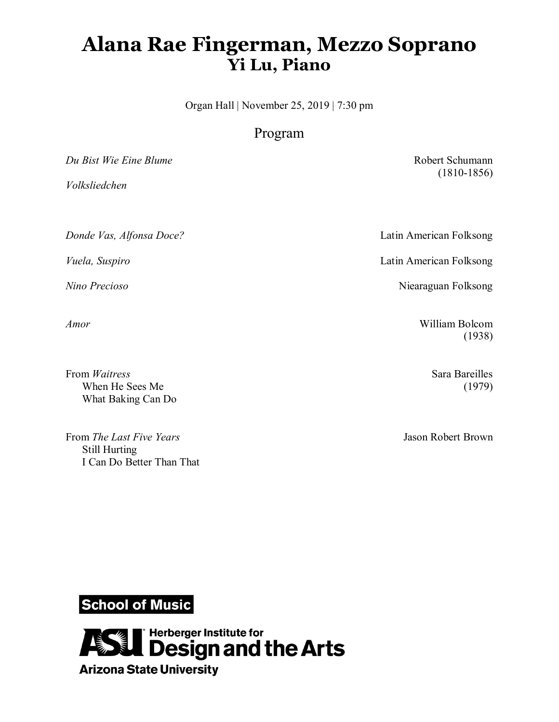# **Alana Rae Fingerman, Mezzo Soprano Yi Lu, Piano**

Organ Hall | November 25, 2019 | 7:30 pm

## Program

*Du Bist Wie Eine Blume* Robert Schumann

*Volksliedchen*

*Donde Vas, Alfonsa Doce?* Latin American Folksong

From *Waitress* Sara Bareilles When He Sees Me (1979) What Baking Can Do

From *The Last Five Years* **Jason Robert Brown** Still Hurting I Can Do Better Than That

(1810-1856)

*Vuela, Suspiro* Latin American Folksong

*Nino Precioso* Niearaguan Folksong

*Amor* William Bolcom (1938)

**School of Music** 

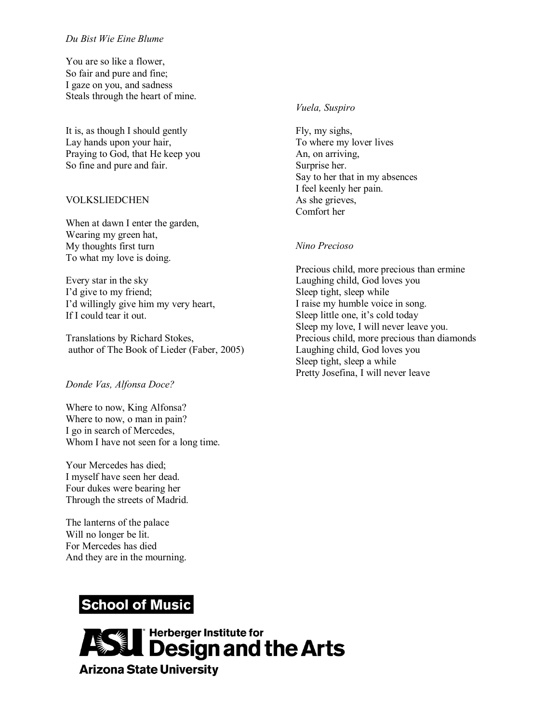#### *Du Bist Wie Eine Blume*

You are so like a flower, So fair and pure and fine; I gaze on you, and sadness Steals through the heart of mine.

It is, as though I should gently Lay hands upon your hair, Praying to God, that He keep you So fine and pure and fair.

### VOLKSLIEDCHEN

When at dawn I enter the garden, Wearing my green hat, My thoughts first turn To what my love is doing.

Every star in the sky I'd give to my friend; I'd willingly give him my very heart, If I could tear it out.

Translations by Richard Stokes, author of The Book of Lieder (Faber, 2005)

#### *Donde Vas, Alfonsa Doce?*

Where to now, King Alfonsa? Where to now, o man in pain? I go in search of Mercedes, Whom I have not seen for a long time.

Your Mercedes has died; I myself have seen her dead. Four dukes were bearing her Through the streets of Madrid.

The lanterns of the palace Will no longer be lit. For Mercedes has died And they are in the mourning.

# **School of Music**



### *Vuela, Suspiro*

Fly, my sighs, To where my lover lives An, on arriving, Surprise her. Say to her that in my absences I feel keenly her pain. As she grieves, Comfort her

#### *Nino Precioso*

Precious child, more precious than ermine Laughing child, God loves you Sleep tight, sleep while I raise my humble voice in song. Sleep little one, it's cold today Sleep my love, I will never leave you. Precious child, more precious than diamonds Laughing child, God loves you Sleep tight, sleep a while Pretty Josefina, I will never leave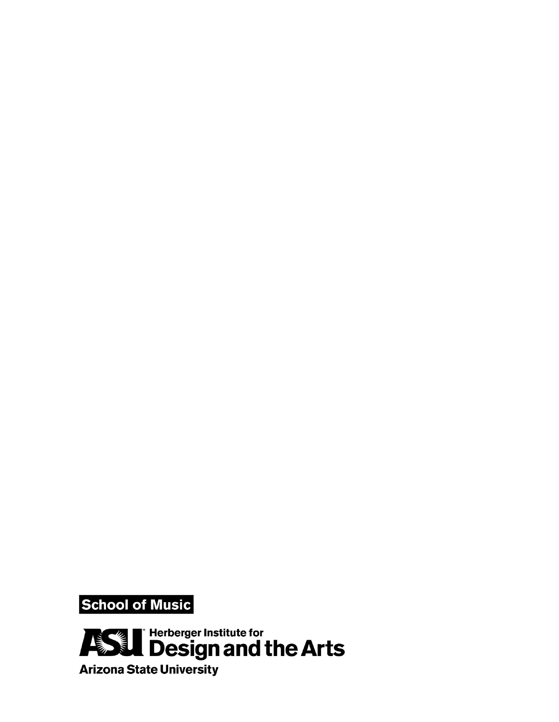